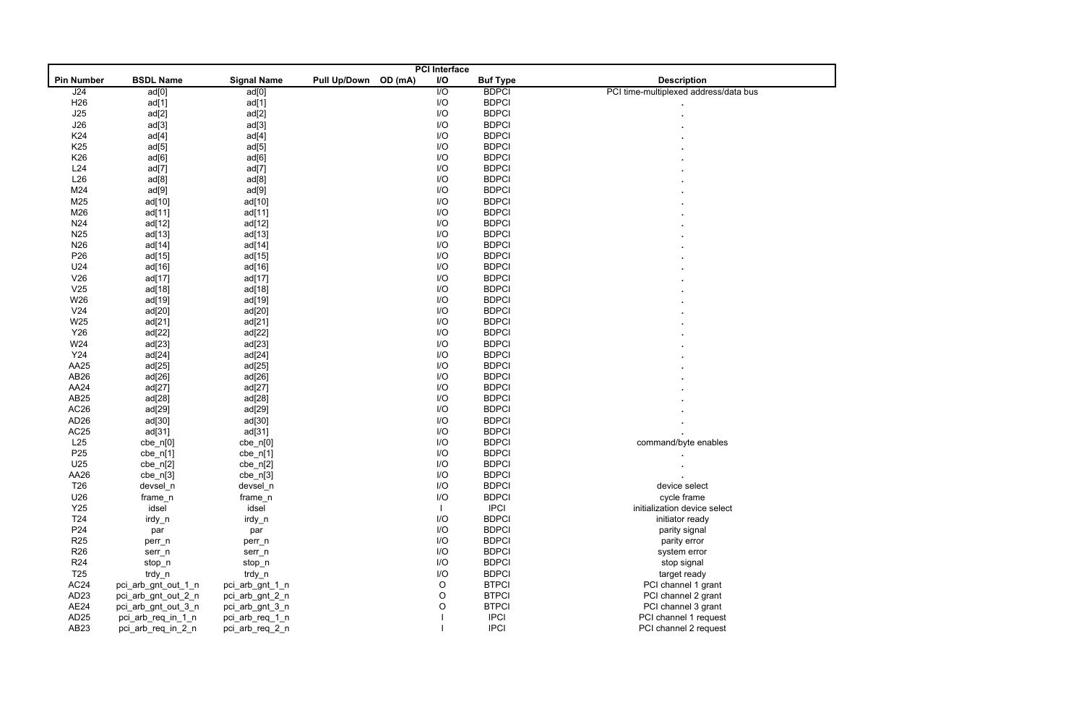|                   |                     |                    |                                | <b>PCI</b> Interface |                 |                                       |
|-------------------|---------------------|--------------------|--------------------------------|----------------------|-----------------|---------------------------------------|
| <b>Pin Number</b> | <b>BSDL Name</b>    | <b>Signal Name</b> | <b>Pull Up/Down</b><br>OD (mA) | $\mathsf{I/O}$       | <b>Buf Type</b> | <b>Description</b>                    |
| J24               | ad[0]               | ad[0]              |                                | $\overline{1/O}$     | <b>BDPCI</b>    | PCI time-multiplexed address/data bus |
| H <sub>26</sub>   | ad[1]               | ad[1]              |                                | I/O                  | <b>BDPCI</b>    |                                       |
| J25               | ad[2]               | ad[2]              |                                | I/O                  | <b>BDPCI</b>    |                                       |
| J26               | ad[3]               | ad[3]              |                                | I/O                  | <b>BDPCI</b>    |                                       |
| K24               | ad[4]               | ad[4]              |                                | I/O                  | <b>BDPCI</b>    |                                       |
| K <sub>25</sub>   | ad[5]               | ad[5]              |                                | I/O                  | <b>BDPCI</b>    |                                       |
| K26               | ad[6]               | ad[6]              |                                | I/O                  | <b>BDPCI</b>    |                                       |
| L24               | ad[7]               | ad[7]              |                                | I/O                  | <b>BDPCI</b>    |                                       |
| L26               | ad[8]               | ad[8]              |                                | I/O                  | <b>BDPCI</b>    |                                       |
| M24               | ad[9]               | ad[9]              |                                | I/O                  | <b>BDPCI</b>    |                                       |
| M25               | ad[10]              | ad[10]             |                                | I/O                  | <b>BDPCI</b>    |                                       |
| M26               | ad[11]              | ad[11]             |                                | I/O                  | <b>BDPCI</b>    |                                       |
| N24               | ad[12]              | ad[12]             |                                | I/O                  | <b>BDPCI</b>    |                                       |
| N <sub>25</sub>   | ad[13]              | ad[13]             |                                | I/O                  | <b>BDPCI</b>    |                                       |
| N <sub>26</sub>   | ad[14]              | ad[14]             |                                | I/O                  | <b>BDPCI</b>    |                                       |
| P <sub>26</sub>   | ad[15]              | ad[15]             |                                | I/O                  | <b>BDPCI</b>    |                                       |
| U24               | ad[16]              | ad[16]             |                                | I/O                  | <b>BDPCI</b>    |                                       |
| V26               | ad[17]              | ad[17]             |                                | I/O                  | <b>BDPCI</b>    |                                       |
| V25               | ad[18]              | ad[18]             |                                | I/O                  | <b>BDPCI</b>    |                                       |
| W26               | ad[19]              | ad[19]             |                                | I/O                  | <b>BDPCI</b>    |                                       |
| V <sub>24</sub>   | ad[20]              | ad[20]             |                                | I/O                  | <b>BDPCI</b>    |                                       |
| W25               | ad[21]              | ad[21]             |                                | I/O                  | <b>BDPCI</b>    |                                       |
| Y26               | ad[22]              | ad[22]             |                                | I/O                  | <b>BDPCI</b>    |                                       |
| W24               | ad[23]              | ad[23]             |                                | I/O                  | <b>BDPCI</b>    |                                       |
| Y24               | ad[24]              | ad[24]             |                                | I/O                  | <b>BDPCI</b>    |                                       |
| AA25              | ad[25]              | ad[25]             |                                | I/O                  | <b>BDPCI</b>    |                                       |
| AB <sub>26</sub>  |                     |                    |                                | I/O                  | <b>BDPCI</b>    |                                       |
| AA24              | ad[26]              | ad[26]             |                                | I/O                  | <b>BDPCI</b>    |                                       |
|                   | ad[27]              | ad[27]             |                                |                      | <b>BDPCI</b>    |                                       |
| AB25              | ad[28]              | ad[28]             |                                | I/O                  |                 |                                       |
| AC <sub>26</sub>  | ad[29]              | ad[29]             |                                | I/O                  | <b>BDPCI</b>    |                                       |
| AD <sub>26</sub>  | ad[30]              | ad[30]             |                                | I/O                  | <b>BDPCI</b>    |                                       |
| AC <sub>25</sub>  | ad[31]              | ad[31]             |                                | I/O                  | <b>BDPCI</b>    |                                       |
| L25               | $cbe_n[0]$          | $cbe_n[0]$         |                                | I/O                  | <b>BDPCI</b>    | command/byte enables                  |
| P <sub>25</sub>   | $cbe_n[1]$          | $cbe_n[1]$         |                                | I/O                  | <b>BDPCI</b>    |                                       |
| U25               | $cbe_n[2]$          | $cbe_n[2]$         |                                | I/O                  | <b>BDPCI</b>    |                                       |
| AA26              | $cbe_n[3]$          | $cbe_n[3]$         |                                | I/O                  | <b>BDPCI</b>    |                                       |
| T <sub>26</sub>   | devsel_n            | devsel_n           |                                | I/O                  | <b>BDPCI</b>    | device select                         |
| U26               | frame_n             | frame_n            |                                | I/O                  | <b>BDPCI</b>    | cycle frame                           |
| Y25               | idsel               | idsel              |                                |                      | <b>IPCI</b>     | initialization device select          |
| T <sub>24</sub>   | irdy_n              | irdy_n             |                                | I/O                  | <b>BDPCI</b>    | initiator ready                       |
| P <sub>24</sub>   | par                 | par                |                                | I/O                  | <b>BDPCI</b>    | parity signal                         |
| <b>R25</b>        | perr_n              | perr_n             |                                | I/O                  | <b>BDPCI</b>    | parity error                          |
| R <sub>26</sub>   | serr_n              | serr_n             |                                | I/O                  | <b>BDPCI</b>    | system error                          |
| <b>R24</b>        | stop_n              | stop_n             |                                | I/O                  | <b>BDPCI</b>    | stop signal                           |
| T <sub>25</sub>   | trdy_n              | trdy_n             |                                | I/O                  | <b>BDPCI</b>    | target ready                          |
| AC <sub>24</sub>  | pci_arb_gnt_out_1_n | pci_arb_gnt_1_n    |                                | $\circ$              | <b>BTPCI</b>    | PCI channel 1 grant                   |
| AD <sub>23</sub>  | pci_arb_gnt_out_2_n | pci_arb_gnt_2_n    |                                | $\circ$              | <b>BTPCI</b>    | PCI channel 2 grant                   |
| AE24              | pci_arb_gnt_out_3_n | pci_arb_gnt_3_n    |                                | $\circ$              | <b>BTPCI</b>    | PCI channel 3 grant                   |
| AD25              | pci_arb_req_in_1_n  | pci_arb_req_1_n    |                                |                      | <b>IPCI</b>     | PCI channel 1 request                 |
| AB <sub>23</sub>  | pci_arb_req_in_2_n  | pci_arb_req_2_n    |                                |                      | <b>IPCI</b>     | PCI channel 2 request                 |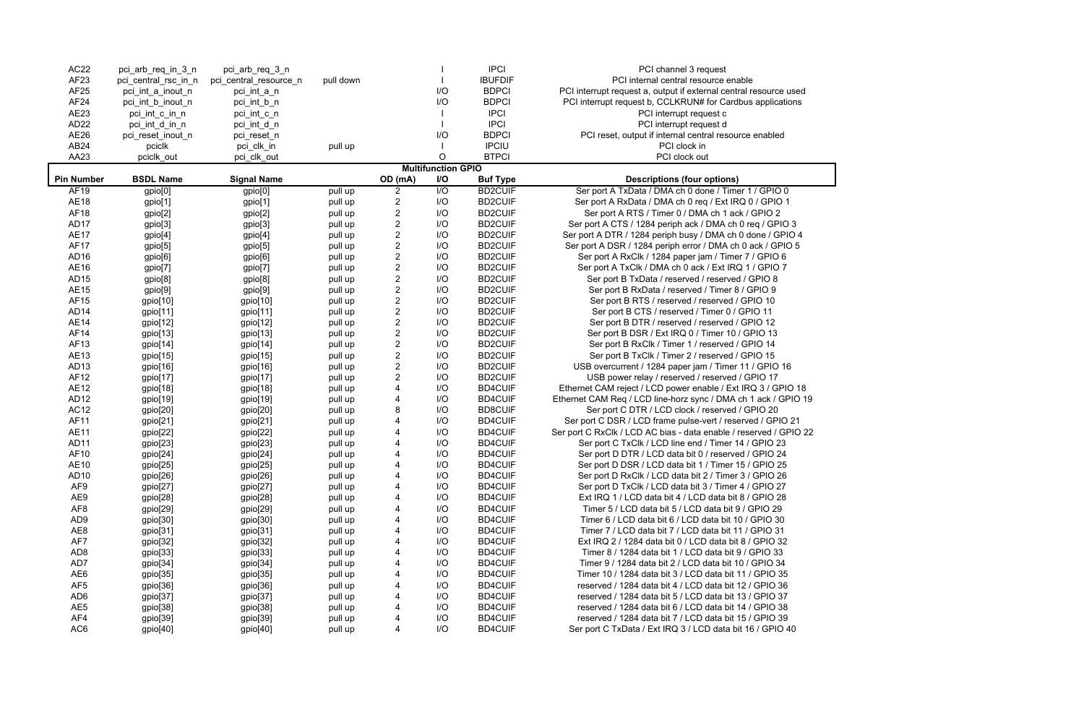| AC22              | pci_arb_req_in_3_n   | pci_arb_req_3_n        |           |                |                           | <b>IPCI</b>     | PCI channel 3 request                                             |
|-------------------|----------------------|------------------------|-----------|----------------|---------------------------|-----------------|-------------------------------------------------------------------|
| AF <sub>23</sub>  | pci_central_rsc_in_n | pci_central_resource_n | pull down |                |                           | <b>IBUFDIF</b>  | PCI internal central resource enable                              |
| AF25              | pci_int_a_inout_n    | pci_int_a_n            |           |                | I/O                       | <b>BDPCI</b>    | PCI interrupt request a, output if external central resource used |
| AF24              | pci_int_b_inout_n    | pci_int_b_n            |           |                | I/O                       | <b>BDPCI</b>    | PCI interrupt request b, CCLKRUN# for Cardbus applications        |
| AE23              | pci_int_c_in_n       | pci_int_c_n            |           |                |                           | <b>IPCI</b>     | PCI interrupt request c                                           |
| AD <sub>22</sub>  | pci_int_d_in_n       | pci_int_d_n            |           |                |                           | <b>IPCI</b>     | PCI interrupt request d                                           |
| AE26              | pci_reset_inout_n    | pci_reset_n            |           |                | I/O                       | <b>BDPCI</b>    | PCI reset, output if internal central resource enabled            |
| AB <sub>24</sub>  | pciclk               | pci_clk_in             | pull up   |                |                           | <b>IPCIU</b>    | PCI clock in                                                      |
| AA23              | pciclk out           | pci_clk_out            |           |                | $\circ$                   | <b>BTPCI</b>    | PCI clock out                                                     |
|                   |                      |                        |           |                | <b>Multifunction GPIO</b> |                 |                                                                   |
| <b>Pin Number</b> | <b>BSDL Name</b>     | <b>Signal Name</b>     |           | OD (mA)        | I/O                       | <b>Buf Type</b> | <b>Descriptions (four options)</b>                                |
| <b>AF19</b>       | gpio[0]              | gpio <sup>[0]</sup>    | pull up   | 2              | $\overline{1/O}$          | <b>BD2CUIF</b>  | Ser port A TxData / DMA ch 0 done / Timer 1 / GPIO 0              |
| <b>AE18</b>       | gpio[1]              | gpio[1]                | pull up   | $\overline{2}$ | I/O                       | <b>BD2CUIF</b>  | Ser port A RxData / DMA ch 0 req / Ext IRQ 0 / GPIO 1             |
| <b>AF18</b>       | gpio[2]              | gpio[2]                | pull up   | $\overline{2}$ | I/O                       | <b>BD2CUIF</b>  | Ser port A RTS / Timer 0 / DMA ch 1 ack / GPIO 2                  |
| AD <sub>17</sub>  | gpio[3]              | gpio[3]                | pull up   | $\overline{2}$ | I/O                       | <b>BD2CUIF</b>  | Ser port A CTS / 1284 periph ack / DMA ch 0 req / GPIO 3          |
| <b>AE17</b>       | gpio[4]              | gpio[4]                | pull up   | $\overline{2}$ | I/O                       | <b>BD2CUIF</b>  | Ser port A DTR / 1284 periph busy / DMA ch 0 done / GPIO 4        |
| <b>AF17</b>       | gpio[5]              | gpio[5]                | pull up   | $\overline{2}$ | I/O                       | <b>BD2CUIF</b>  | Ser port A DSR / 1284 periph error / DMA ch 0 ack / GPIO 5        |
| AD <sub>16</sub>  | gpio[6]              | gpio[6]                | pull up   | $\overline{2}$ | I/O                       | <b>BD2CUIF</b>  | Ser port A RxClk / 1284 paper jam / Timer 7 / GPIO 6              |
| AE16              | gpio[7]              | gpio[7]                | pull up   | $\overline{2}$ | I/O                       | <b>BD2CUIF</b>  | Ser port A TxClk / DMA ch 0 ack / Ext IRQ 1 / GPIO 7              |
| AD <sub>15</sub>  | gpio[8]              | gpio[8]                | pull up   | $\overline{2}$ | I/O                       | <b>BD2CUIF</b>  | Ser port B TxData / reserved / reserved / GPIO 8                  |
| <b>AE15</b>       | gpio[9]              | gpio[9]                | pull up   | $\overline{2}$ | I/O                       | <b>BD2CUIF</b>  | Ser port B RxData / reserved / Timer 8 / GPIO 9                   |
| AF15              | gpio[10]             | gpio[10]               | pull up   | $\overline{2}$ | I/O                       | <b>BD2CUIF</b>  | Ser port B RTS / reserved / reserved / GPIO 10                    |
| AD <sub>14</sub>  | gpio[11]             | gpio[11]               | pull up   | $\overline{2}$ | I/O                       | <b>BD2CUIF</b>  | Ser port B CTS / reserved / Timer 0 / GPIO 11                     |
| <b>AE14</b>       | gpio[12]             | gpio[12]               | pull up   | $\overline{2}$ | I/O                       | <b>BD2CUIF</b>  | Ser port B DTR / reserved / reserved / GPIO 12                    |
| AF14              | gpio[13]             | gpio[13]               | pull up   | $\overline{2}$ | I/O                       | <b>BD2CUIF</b>  | Ser port B DSR / Ext IRQ 0 / Timer 10 / GPIO 13                   |
| AF13              | gpio[14]             | gpio[14]               | pull up   | $\overline{2}$ | I/O                       | <b>BD2CUIF</b>  | Ser port B RxClk / Timer 1 / reserved / GPIO 14                   |
| AE13              | gpio[15]             | gpio[15]               | pull up   | $\overline{2}$ | I/O                       | <b>BD2CUIF</b>  | Ser port B TxClk / Timer 2 / reserved / GPIO 15                   |
| AD <sub>13</sub>  | gpio[16]             | gpio[16]               | pull up   | $\overline{2}$ | I/O                       | <b>BD2CUIF</b>  | USB overcurrent / 1284 paper jam / Timer 11 / GPIO 16             |
| AF12              | gpio[17]             | gpio[17]               | pull up   | 2              | I/O                       | <b>BD2CUIF</b>  | USB power relay / reserved / reserved / GPIO 17                   |
| <b>AE12</b>       | gpio[18]             | gpio[18]               | pull up   | 4              | I/O                       | <b>BD4CUIF</b>  | Ethernet CAM reject / LCD power enable / Ext IRQ 3 / GPIO 18      |
| AD <sub>12</sub>  | gpio[19]             | gpio[19]               | pull up   | 4              | I/O                       | <b>BD4CUIF</b>  | Ethernet CAM Req / LCD line-horz sync / DMA ch 1 ack / GPIO 19    |
| AC12              | gpio[20]             | gpio[20]               | pull up   | 8              | I/O                       | <b>BD8CUIF</b>  | Ser port C DTR / LCD clock / reserved / GPIO 20                   |
| AF11              | gpio[21]             | gpio[21]               | pull up   | 4              | I/O                       | <b>BD4CUIF</b>  | Ser port C DSR / LCD frame pulse-vert / reserved / GPIO 21        |
| <b>AE11</b>       | gpio[22]             | gpio[22]               | pull up   | 4              | I/O                       | <b>BD4CUIF</b>  | Ser port C RxClk / LCD AC bias - data enable / reserved / GPIO 22 |
| AD11              | gpio[23]             | gpio[23]               | pull up   |                | I/O                       | <b>BD4CUIF</b>  | Ser port C TxClk / LCD line end / Timer 14 / GPIO 23              |
| AF10              | gpio[24]             | gpio[24]               | pull up   | 4              | I/O                       | <b>BD4CUIF</b>  | Ser port D DTR / LCD data bit 0 / reserved / GPIO 24              |
| <b>AE10</b>       | gpio[25]             | gpio[25]               | pull up   | 4              | I/O                       | <b>BD4CUIF</b>  | Ser port D DSR / LCD data bit 1 / Timer 15 / GPIO 25              |
| AD10              | gpio[26]             | gpio[26]               | pull up   |                | I/O                       | <b>BD4CUIF</b>  | Ser port D RxClk / LCD data bit 2 / Timer 3 / GPIO 26             |
| AF <sub>9</sub>   | gpio[27]             | gpio[27]               | pull up   |                | I/O                       | <b>BD4CUIF</b>  | Ser port D TxClk / LCD data bit 3 / Timer 4 / GPIO 27             |
| AE9               | gpio[28]             | gpio[28]               | pull up   |                | I/O                       | <b>BD4CUIF</b>  | Ext IRQ 1 / LCD data bit 4 / LCD data bit 8 / GPIO 28             |
| AF <sub>8</sub>   | gpio[29]             | gpio[29]               | pull up   |                | I/O                       | <b>BD4CUIF</b>  | Timer 5 / LCD data bit 5 / LCD data bit 9 / GPIO 29               |
| AD <sub>9</sub>   | gpio[30]             | gpio[30]               | pull up   |                | I/O                       | <b>BD4CUIF</b>  | Timer 6 / LCD data bit 6 / LCD data bit 10 / GPIO 30              |
| AE8               | gpio[31]             | gpio[31]               | pull up   |                | I/O                       | <b>BD4CUIF</b>  | Timer 7 / LCD data bit 7 / LCD data bit 11 / GPIO 31              |
| AF7               | gpio[32]             | gpio[32]               | pull up   |                | I/O                       | <b>BD4CUIF</b>  | Ext IRQ 2 / 1284 data bit 0 / LCD data bit 8 / GPIO 32            |
| AD <sub>8</sub>   | gpio[33]             | gpio[33]               | pull up   |                | I/O                       | <b>BD4CUIF</b>  | Timer 8 / 1284 data bit 1 / LCD data bit 9 / GPIO 33              |
| AD7               | gpio[34]             | gpio[34]               | pull up   |                | I/O                       | <b>BD4CUIF</b>  | Timer 9 / 1284 data bit 2 / LCD data bit 10 / GPIO 34             |
| AE6               | gpio[35]             | gpio[35]               | pull up   |                | I/O                       | <b>BD4CUIF</b>  | Timer 10 / 1284 data bit 3 / LCD data bit 11 / GPIO 35            |
| AF <sub>5</sub>   | gpio[36]             | gpio[36]               | pull up   |                | I/O                       | <b>BD4CUIF</b>  | reserved / 1284 data bit 4 / LCD data bit 12 / GPIO 36            |
| AD <sub>6</sub>   | gpio[37]             | gpio[37]               | pull up   |                | I/O                       | <b>BD4CUIF</b>  | reserved / 1284 data bit 5 / LCD data bit 13 / GPIO 37            |
| AE <sub>5</sub>   | gpio[38]             | gpio[38]               | pull up   | 4              | I/O                       | <b>BD4CUIF</b>  | reserved / 1284 data bit 6 / LCD data bit 14 / GPIO 38            |
| AF4               | gpio[39]             | gpio[39]               | pull up   | 4              | I/O                       | <b>BD4CUIF</b>  | reserved / 1284 data bit 7 / LCD data bit 15 / GPIO 39            |
| AC <sub>6</sub>   | gpio[40]             | gpio[40]               | pull up   | 4              | $\overline{U}$            | <b>BD4CUIF</b>  | Ser port C TxData / Ext IRQ 3 / LCD data bit 16 / GPIO 40         |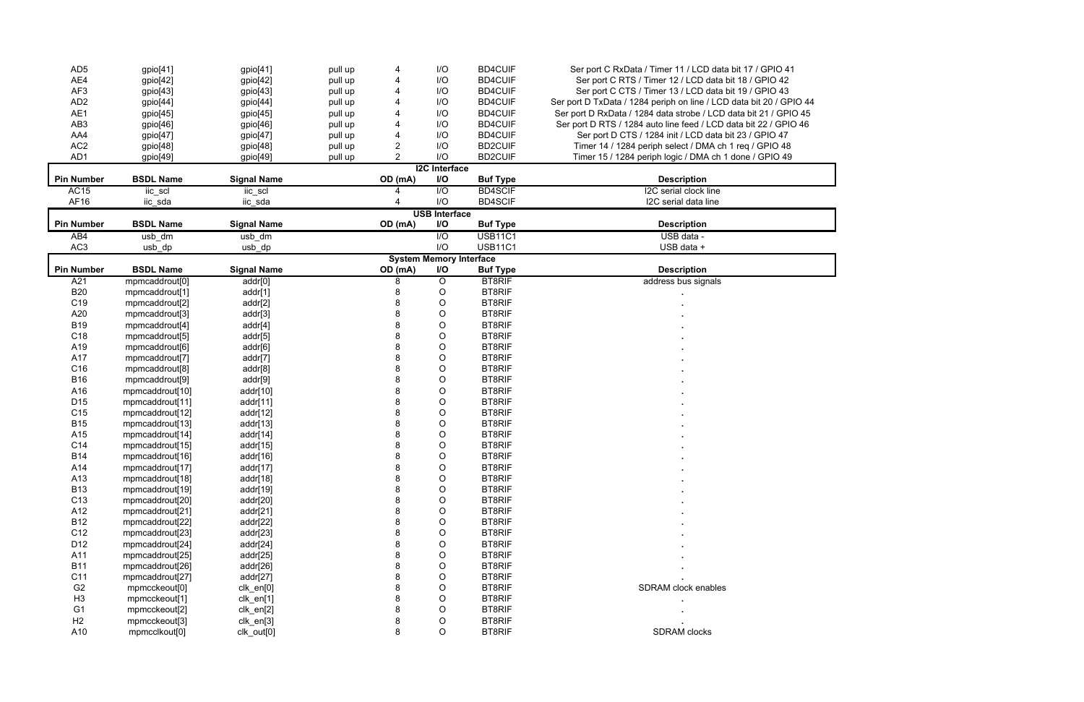| AD <sub>5</sub>   | gpio[41]                   | gpio[41]           | pull up |                | I/O                            | <b>BD4CUIF</b>  | Ser port C RxData / Timer 11 / LCD data bit 17 / GPIO 41            |  |  |
|-------------------|----------------------------|--------------------|---------|----------------|--------------------------------|-----------------|---------------------------------------------------------------------|--|--|
| AE4               | gpio[42]                   | gpio[42]           | pull up | 4              | I/O                            | <b>BD4CUIF</b>  | Ser port C RTS / Timer 12 / LCD data bit 18 / GPIO 42               |  |  |
| AF3               | gpio[43]                   | gpio[43]           | pull up |                | I/O                            | <b>BD4CUIF</b>  | Ser port C CTS / Timer 13 / LCD data bit 19 / GPIO 43               |  |  |
| AD <sub>2</sub>   | gpio[44]                   | gpio[44]           | pull up |                | I/O                            | <b>BD4CUIF</b>  | Ser port D TxData / 1284 periph on line / LCD data bit 20 / GPIO 44 |  |  |
| AE1               | gpio[45]                   | gpio[45]           | pull up |                | I/O                            | <b>BD4CUIF</b>  | Ser port D RxData / 1284 data strobe / LCD data bit 21 / GPIO 45    |  |  |
| AB <sub>3</sub>   | gpio[46]                   | gpio[46]           | pull up |                | I/O                            | <b>BD4CUIF</b>  | Ser port D RTS / 1284 auto line feed / LCD data bit 22 / GPIO 46    |  |  |
| AA4               | gpio[47]                   | gpio[47]           | pull up |                | I/O                            | <b>BD4CUIF</b>  | Ser port D CTS / 1284 init / LCD data bit 23 / GPIO 47              |  |  |
| AC <sub>2</sub>   | gpio[48]                   | gpio[48]           | pull up | $\overline{2}$ | I/O                            | <b>BD2CUIF</b>  | Timer 14 / 1284 periph select / DMA ch 1 req / GPIO 48              |  |  |
| AD1               | gpio[49]                   | gpio[49]           | pull up | $\overline{2}$ | I/O                            | <b>BD2CUIF</b>  | Timer 15 / 1284 periph logic / DMA ch 1 done / GPIO 49              |  |  |
|                   |                            |                    |         |                | <b>I2C</b> Interface           |                 |                                                                     |  |  |
| <b>Pin Number</b> | <b>BSDL Name</b>           | <b>Signal Name</b> |         | OD (mA)        | I/O                            | <b>Buf Type</b> | <b>Description</b>                                                  |  |  |
| <b>AC15</b>       | iic_scl                    | iic_scl            |         |                | $\overline{1/O}$               | <b>BD4SCIF</b>  | I2C serial clock line                                               |  |  |
| AF16              | iic_sda                    | iic_sda            |         |                | I/O                            | <b>BD4SCIF</b>  | I2C serial data line                                                |  |  |
|                   | <b>USB Interface</b>       |                    |         |                |                                |                 |                                                                     |  |  |
| <b>Pin Number</b> | <b>BSDL Name</b>           | <b>Signal Name</b> |         | OD (mA)        | <b>I/O</b>                     | <b>Buf Type</b> | <b>Description</b>                                                  |  |  |
| AB4               | usb_dm                     | usb_dm             |         |                | $\overline{10}$                | <b>USB11C1</b>  | USB data -                                                          |  |  |
| AC <sub>3</sub>   | usb_dp                     | usb_dp             |         |                | I/O                            | <b>USB11C1</b>  | USB data +                                                          |  |  |
|                   |                            |                    |         |                | <b>System Memory Interface</b> |                 |                                                                     |  |  |
| <b>Pin Number</b> | <b>BSDL Name</b>           | <b>Signal Name</b> |         | OD (mA)        | I/O                            | <b>Buf Type</b> | <b>Description</b>                                                  |  |  |
| A21               | mpmcaddrout <sup>[0]</sup> | addr[0]            |         | 8              | $\overline{O}$                 | <b>BT8RIF</b>   | address bus signals                                                 |  |  |
| <b>B20</b>        | mpmcaddrout[1]             | addr[1]            |         | 8              | O                              | <b>BT8RIF</b>   |                                                                     |  |  |
| C <sub>19</sub>   | mpmcaddrout[2]             | addr[2]            |         | 8              | $\circ$                        | <b>BT8RIF</b>   |                                                                     |  |  |
| A20               | mpmcaddrout[3]             | addr[3]            |         | 8              | $\circ$                        | <b>BT8RIF</b>   |                                                                     |  |  |
| <b>B19</b>        | mpmcaddrout[4]             | addr[4]            |         | 8              | O                              | <b>BT8RIF</b>   |                                                                     |  |  |
| C18               | mpmcaddrout[5]             | addr[5]            |         | 8              | O                              | <b>BT8RIF</b>   |                                                                     |  |  |
| A19               | mpmcaddrout[6]             | addr[6]            |         | 8              | $\circ$                        | <b>BT8RIF</b>   |                                                                     |  |  |
| A17               | mpmcaddrout <sup>[7]</sup> | addr[7]            |         | 8              | $\circ$                        | <b>BT8RIF</b>   |                                                                     |  |  |
| C16               | mpmcaddrout <sup>[8]</sup> | addr[8]            |         | 8              | $\circ$                        | <b>BT8RIF</b>   |                                                                     |  |  |
| <b>B16</b>        | mpmcaddrout <sup>[9]</sup> | addr[9]            |         | 8              | O                              | <b>BT8RIF</b>   |                                                                     |  |  |
| A16               | mpmcaddrout[10]            | addr[10]           |         | 8              | O                              | <b>BT8RIF</b>   |                                                                     |  |  |
| D <sub>15</sub>   | mpmcaddrout[11]            | addr[11]           |         | 8              | $\circ$                        | <b>BT8RIF</b>   |                                                                     |  |  |
| C15               | mpmcaddrout[12]            | addr[12]           |         | 8              | O                              | <b>BT8RIF</b>   |                                                                     |  |  |
| <b>B15</b>        | mpmcaddrout[13]            | addr[13]           |         | 8              | O                              | <b>BT8RIF</b>   |                                                                     |  |  |
| A15               | mpmcaddrout[14]            | addr[14]           |         | 8              | $\circ$                        | <b>BT8RIF</b>   |                                                                     |  |  |
| C14               | mpmcaddrout[15]            | addr[15]           |         | 8              | $\circ$                        | <b>BT8RIF</b>   |                                                                     |  |  |
| <b>B14</b>        | mpmcaddrout[16]            | addr[16]           |         | Ω              | O                              | <b>BT8RIF</b>   |                                                                     |  |  |
| A14               | mpmcaddrout[17]            | addr[17]           |         | 8              | O                              | <b>BT8RIF</b>   |                                                                     |  |  |
| A13               | mpmcaddrout[18]            | addr[18]           |         | 8              | $\circ$                        | <b>BT8RIF</b>   |                                                                     |  |  |
| <b>B13</b>        | mpmcaddrout[19]            | addr[19]           |         | 8              | $\circ$                        | <b>BT8RIF</b>   |                                                                     |  |  |
| C <sub>13</sub>   | mpmcaddrout[20]            | addr[20]           |         | 8              | $\circ$                        | <b>BT8RIF</b>   |                                                                     |  |  |
| A12               | mpmcaddrout[21]            | addr[21]           |         | 8              | $\circ$                        | <b>BT8RIF</b>   |                                                                     |  |  |
| <b>B12</b>        | mpmcaddrout[22]            | addr[22]           |         | 8              | $\circ$                        | <b>BT8RIF</b>   |                                                                     |  |  |
| C <sub>12</sub>   | mpmcaddrout[23]            | addr[23]           |         | 8              | $\circ$                        | <b>BT8RIF</b>   |                                                                     |  |  |
| D <sub>12</sub>   | mpmcaddrout[24]            | addr[24]           |         | 8              | $\circ$                        | <b>BT8RIF</b>   |                                                                     |  |  |
| A11               | mpmcaddrout[25]            | addr[25]           |         | 8              | $\circ$                        | <b>BT8RIF</b>   |                                                                     |  |  |
| <b>B11</b>        | mpmcaddrout[26]            | addr[26]           |         | 8              | O                              | <b>BT8RIF</b>   |                                                                     |  |  |
| C11               | mpmcaddrout[27]            | addr[27]           |         | 8              | O                              | <b>BT8RIF</b>   |                                                                     |  |  |
| G <sub>2</sub>    | mpmcckeout[0]              | clk_en[0]          |         | 8              | O                              | <b>BT8RIF</b>   | SDRAM clock enables                                                 |  |  |
| H <sub>3</sub>    | mpmcckeout[1]              | clk_en[1]          |         | 8              | O                              | <b>BT8RIF</b>   |                                                                     |  |  |
| G <sub>1</sub>    | mpmcckeout[2]              | clk_en[2]          |         | 8              | $\circ$                        | <b>BT8RIF</b>   |                                                                     |  |  |
| H2                | mpmcckeout[3]              | clk_en[3]          |         | 8              | $\circ$                        | <b>BT8RIF</b>   |                                                                     |  |  |
| A10               | mpmcclkout[0]              | clk_out[0]         |         | 8              | $\circ$                        | <b>BT8RIF</b>   | <b>SDRAM</b> clocks                                                 |  |  |

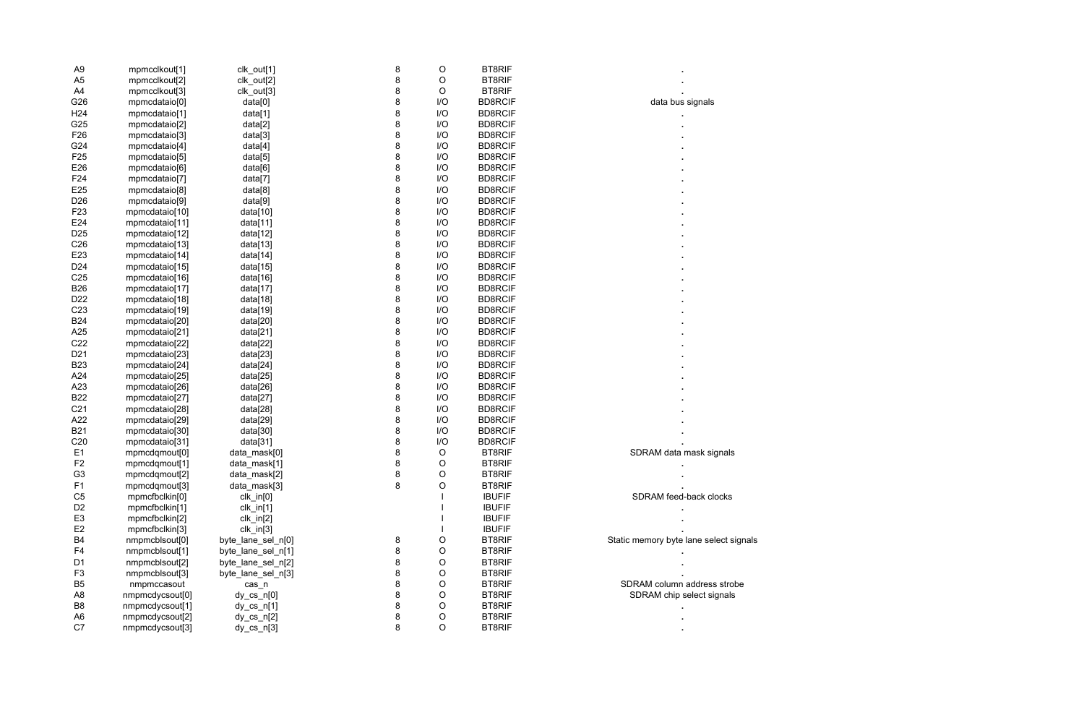| A <sub>9</sub>       |                 |                    | 8      | O           | <b>BT8RIF</b>  |                                        |
|----------------------|-----------------|--------------------|--------|-------------|----------------|----------------------------------------|
|                      | mpmcclkout[1]   | clk_out[1]         |        |             | <b>BT8RIF</b>  |                                        |
| A <sub>5</sub><br>A4 | mpmcclkout[2]   | clk_out[2]         | 8<br>8 | O<br>O      | <b>BT8RIF</b>  |                                        |
| G26                  | mpmcclkout[3]   | clk_out[3]         | 8      | I/O         | <b>BD8RCIF</b> |                                        |
| H <sub>24</sub>      | mpmcdataio[0]   | data[0]            | 8      | I/O         | <b>BD8RCIF</b> | data bus signals                       |
|                      | mpmcdataio[1]   | data[1]            |        |             |                |                                        |
| G25                  | mpmcdataio[2]   | data[2]            | 8      | I/O         | <b>BD8RCIF</b> |                                        |
| F26                  | mpmcdataio[3]   | data[3]            | 8      | I/O         | <b>BD8RCIF</b> |                                        |
| G24                  | mpmcdataio[4]   | data[4]            | 8      | I/O         | <b>BD8RCIF</b> |                                        |
| F <sub>25</sub>      | mpmcdataio[5]   | data[5]            | 8      | I/O         | <b>BD8RCIF</b> |                                        |
| E26                  | mpmcdataio[6]   | data[6]            | 8      | I/O         | <b>BD8RCIF</b> |                                        |
| F24                  | mpmcdataio[7]   | data[7]            | 8      | I/O         | <b>BD8RCIF</b> |                                        |
| E25                  | mpmcdataio[8]   | data[8]            | 8      | I/O         | <b>BD8RCIF</b> |                                        |
| D <sub>26</sub>      | mpmcdataio[9]   | data[9]            | 8      | I/O         | <b>BD8RCIF</b> |                                        |
| F <sub>23</sub>      | mpmcdataio[10]  | data[10]           | 8      | I/O         | <b>BD8RCIF</b> |                                        |
| E24                  | mpmcdataio[11]  | data[11]           | 8      | I/O         | <b>BD8RCIF</b> |                                        |
| D <sub>25</sub>      | mpmcdataio[12]  | data[12]           | 8      | I/O         | <b>BD8RCIF</b> |                                        |
| C <sub>26</sub>      | mpmcdataio[13]  | data[13]           | 8      | I/O         | <b>BD8RCIF</b> |                                        |
| E23                  | mpmcdataio[14]  | data[14]           | 8      | I/O         | <b>BD8RCIF</b> |                                        |
| D <sub>24</sub>      | mpmcdataio[15]  | data[15]           | 8      | I/O         | <b>BD8RCIF</b> |                                        |
| C <sub>25</sub>      | mpmcdataio[16]  | data[16]           | 8      | I/O         | <b>BD8RCIF</b> |                                        |
| <b>B26</b>           | mpmcdataio[17]  | data[17]           | 8      | I/O         | <b>BD8RCIF</b> |                                        |
| D <sub>22</sub>      | mpmcdataio[18]  | data[18]           | 8      | I/O         | <b>BD8RCIF</b> |                                        |
| C <sub>23</sub>      | mpmcdataio[19]  | data[19]           | 8      | I/O         | <b>BD8RCIF</b> |                                        |
| <b>B24</b>           | mpmcdataio[20]  | data[20]           | 8      | I/O         | <b>BD8RCIF</b> |                                        |
| A25                  | mpmcdataio[21]  | data[21]           | 8      | I/O         | <b>BD8RCIF</b> |                                        |
| C <sub>22</sub>      | mpmcdataio[22]  | data[22]           | 8      | I/O         | <b>BD8RCIF</b> |                                        |
| D <sub>21</sub>      | mpmcdataio[23]  | data[23]           | 8      | I/O         | <b>BD8RCIF</b> |                                        |
| <b>B23</b>           | mpmcdataio[24]  | data[24]           | 8      | I/O         | <b>BD8RCIF</b> |                                        |
| A24                  | mpmcdataio[25]  | data[25]           | 8      | I/O         | <b>BD8RCIF</b> |                                        |
| A23                  | mpmcdataio[26]  | data[26]           | 8      | I/O         | <b>BD8RCIF</b> |                                        |
| <b>B22</b>           | mpmcdataio[27]  | data[27]           | 8      | I/O         | <b>BD8RCIF</b> |                                        |
| C <sub>21</sub>      | mpmcdataio[28]  | data[28]           | 8      | I/O         | <b>BD8RCIF</b> |                                        |
| A22                  | mpmcdataio[29]  | data[29]           | 8      | I/O         | <b>BD8RCIF</b> |                                        |
| <b>B21</b>           | mpmcdataio[30]  | data[30]           | 8      | I/O         | <b>BD8RCIF</b> |                                        |
| C <sub>20</sub>      | mpmcdataio[31]  | data[31]           | 8      | I/O         | <b>BD8RCIF</b> |                                        |
| E1                   | mpmcdqmout[0]   | data_mask[0]       | 8      | O           | <b>BT8RIF</b>  | SDRAM data mask signals                |
| F <sub>2</sub>       | mpmcdqmout[1]   | data_mask[1]       | 8      | O           | <b>BT8RIF</b>  |                                        |
| G <sub>3</sub>       | mpmcdqmout[2]   | data_mask[2]       | 8      | $\circ$     | <b>BT8RIF</b>  |                                        |
| F <sub>1</sub>       | mpmcdqmout[3]   | data_mask[3]       | 8      | O           | <b>BT8RIF</b>  |                                        |
| C <sub>5</sub>       | mpmcfbclkin[0]  | $clk_in[0]$        |        |             | <b>IBUFIF</b>  | SDRAM feed-back clocks                 |
| D <sub>2</sub>       | mpmcfbclkin[1]  | $clk_in[1]$        |        |             | <b>IBUFIF</b>  |                                        |
| E <sub>3</sub>       | mpmcfbclkin[2]  |                    |        |             | <b>IBUFIF</b>  |                                        |
|                      |                 | $clk_in[2]$        |        |             | <b>IBUFIF</b>  |                                        |
| E <sub>2</sub>       | mpmcfbclkin[3]  | $clk_in[3]$        |        |             |                |                                        |
| B <sub>4</sub>       | nmpmcblsout[0]  | byte_lane_sel_n[0] | 8      | O           | <b>BT8RIF</b>  | Static memory byte lane select signals |
| F <sub>4</sub>       | nmpmcblsout[1]  | byte_lane_sel_n[1] | 8      | O           | <b>BT8RIF</b>  |                                        |
| D <sub>1</sub>       | nmpmcblsout[2]  | byte_lane_sel_n[2] | 8      | $\circ$     | <b>BT8RIF</b>  |                                        |
| F <sub>3</sub>       | nmpmcblsout[3]  | byte_lane_sel_n[3] | 8      | $\circ$     | <b>BT8RIF</b>  |                                        |
| B <sub>5</sub>       | nmpmccasout     | cas_n              | 8      | $\mathsf O$ | <b>BT8RIF</b>  | SDRAM column address strobe            |
| A <sub>8</sub>       | nmpmcdycsout[0] | $dy_c s_n[0]$      | 8      | $\mathsf O$ | <b>BT8RIF</b>  | SDRAM chip select signals              |
| B <sub>8</sub>       | nmpmcdycsout[1] | $dy_c s_n[1]$      | 8      | $\circ$     | <b>BT8RIF</b>  |                                        |
| A <sub>6</sub>       | nmpmcdycsout[2] | $dy_c s_n[2]$      | 8      | $\mathsf O$ | <b>BT8RIF</b>  |                                        |
| C7                   | nmpmcdycsout[3] | $dy_c s_n[3]$      | 8      | $\circ$     | <b>BT8RIF</b>  |                                        |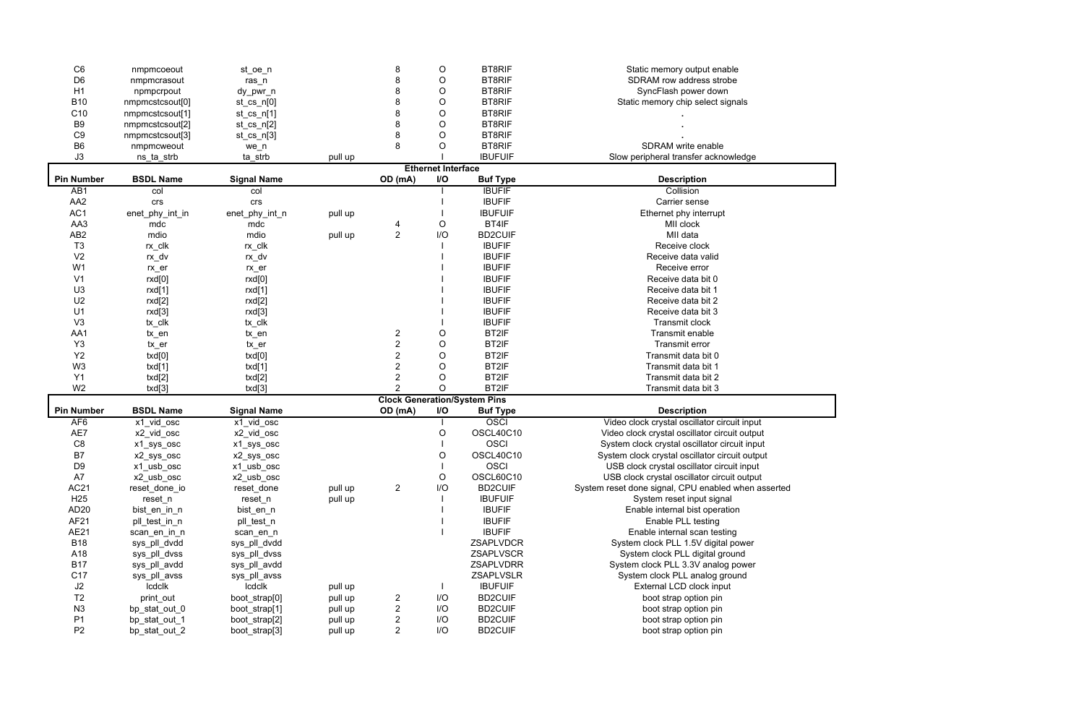| C <sub>6</sub>    | nmpmcoeout          | st_oe_n            |         | 8                       | $\mathsf O$               | <b>BT8RIF</b>                       | Static memory output enable                         |
|-------------------|---------------------|--------------------|---------|-------------------------|---------------------------|-------------------------------------|-----------------------------------------------------|
| D <sub>6</sub>    | nmpmcrasout         | $ras_n$            |         | 8                       | $\mathsf O$               | <b>BT8RIF</b>                       | SDRAM row address strobe                            |
| H1                | npmpcrpout          | dy_pwr_n           |         | 8                       | $\mathsf O$               | <b>BT8RIF</b>                       | SyncFlash power down                                |
| <b>B10</b>        | nmpmcstcsout[0]     | $st_cs_n[0]$       |         | 8                       | $\mathsf O$               | <b>BT8RIF</b>                       | Static memory chip select signals                   |
| C <sub>10</sub>   | nmpmcstcsout[1]     | $st_cs_n[1]$       |         | 8                       | $\mathsf O$               | <b>BT8RIF</b>                       |                                                     |
| B <sub>9</sub>    | nmpmcstcsout[2]     | $st_cs_n[2]$       |         | 8                       | $\mathsf O$               | <b>BT8RIF</b>                       |                                                     |
| C <sub>9</sub>    | nmpmcstcsout[3]     | $st_cs_n[3]$       |         | 8                       | $\circ$                   | <b>BT8RIF</b>                       |                                                     |
| B <sub>6</sub>    | nmpmcweout          | we_n               |         | 8                       | O                         | <b>BT8RIF</b>                       | SDRAM write enable                                  |
| J3                | ns_ta_strb          | ta_strb            | pull up |                         |                           | <b>IBUFUIF</b>                      | Slow peripheral transfer acknowledge                |
|                   |                     |                    |         |                         | <b>Ethernet Interface</b> |                                     |                                                     |
| <b>Pin Number</b> | <b>BSDL Name</b>    | <b>Signal Name</b> |         | OD (mA)                 | <b>I/O</b>                | <b>Buf Type</b>                     | <b>Description</b>                                  |
| AB <sub>1</sub>   | col                 | col                |         |                         |                           | <b>IBUFIF</b>                       | Collision                                           |
| AA <sub>2</sub>   | crs                 | crs                |         |                         |                           | <b>IBUFIF</b>                       | Carrier sense                                       |
| AC1               | enet_phy_int_in     | enet_phy_int_n     | pull up |                         |                           | <b>IBUFUIF</b>                      | Ethernet phy interrupt                              |
| AA3               | mdc                 | mdc                |         | 4                       | $\circ$                   | BT4IF                               | MII clock                                           |
| AB <sub>2</sub>   | mdio                | mdio               | pull up | $\overline{2}$          | I/O                       | <b>BD2CUIF</b>                      | MII data                                            |
| T <sub>3</sub>    | $rx$ _clk           | rx_clk             |         |                         |                           | <b>IBUFIF</b>                       | Receive clock                                       |
| V <sub>2</sub>    | rx_dv               | rx_dv              |         |                         |                           | <b>IBUFIF</b>                       | Receive data valid                                  |
| W <sub>1</sub>    | $rx$ <sub>_er</sub> | $rx$ $er$          |         |                         |                           | <b>IBUFIF</b>                       | Receive error                                       |
| V <sub>1</sub>    | rxd[0]              | rxd[0]             |         |                         |                           | <b>IBUFIF</b>                       | Receive data bit 0                                  |
| U3                | rxd[1]              | rxd[1]             |         |                         |                           | <b>IBUFIF</b>                       | Receive data bit 1                                  |
| U <sub>2</sub>    | rxd[2]              | rxd[2]             |         |                         |                           | <b>IBUFIF</b>                       | Receive data bit 2                                  |
| U1                | rxd[3]              | rxd[3]             |         |                         |                           | <b>IBUFIF</b>                       | Receive data bit 3                                  |
| V3                | tx_clk              | tx_clk             |         |                         |                           | <b>IBUFIF</b>                       | <b>Transmit clock</b>                               |
| AA1               | tx_en               | tx_en              |         | $\overline{\mathbf{c}}$ | O                         | BT2IF                               | Transmit enable                                     |
| Y <sub>3</sub>    | tx_er               | tx_er              |         | $\overline{2}$          | O                         | BT2IF                               | Transmit error                                      |
| Y2                | txd[0]              | txd[0]             |         | $\overline{2}$          | O                         | BT2IF                               | Transmit data bit 0                                 |
| W <sub>3</sub>    | txd[1]              | txd[1]             |         | $\overline{c}$          | O                         | BT2IF                               | Transmit data bit 1                                 |
| Y1                | txd[2]              | txd[2]             |         | $\overline{c}$          | O                         | BT2IF                               | Transmit data bit 2                                 |
| W <sub>2</sub>    | txd[3]              | txd[3]             |         | $\overline{2}$          | $\circ$                   | BT2IF                               | Transmit data bit 3                                 |
|                   |                     |                    |         |                         |                           | <b>Clock Generation/System Pins</b> |                                                     |
| <b>Pin Number</b> | <b>BSDL Name</b>    | <b>Signal Name</b> |         | OD (mA)                 | I/O                       | <b>Buf Type</b>                     | <b>Description</b>                                  |
| AF <sub>6</sub>   | $x1$ vid osc        | x1_vid_osc         |         |                         |                           | OSCI                                | Video clock crystal oscillator circuit input        |
| AE7               | x2_vid_osc          | x2_vid_osc         |         |                         | O                         | OSCL40C10                           | Video clock crystal oscillator circuit output       |
| C8                | x1_sys_osc          | x1_sys_osc         |         |                         |                           | <b>OSCI</b>                         | System clock crystal oscillator circuit input       |
| B7                | x2_sys_osc          | x2_sys_osc         |         |                         | O                         | OSCL40C10                           | System clock crystal oscillator circuit output      |
| D <sub>9</sub>    | x1_usb_osc          | x1_usb_osc         |         |                         |                           | <b>OSCI</b>                         | USB clock crystal oscillator circuit input          |
| A7                | x2_usb_osc          | x2_usb_osc         |         |                         | O                         | OSCL60C10                           | USB clock crystal oscillator circuit output         |
| <b>AC21</b>       | reset_done_io       | reset_done         | pull up | $\overline{2}$          | I/O                       | <b>BD2CUIF</b>                      | System reset done signal, CPU enabled when asserted |
| H <sub>25</sub>   | reset_n             | reset_n            | pull up |                         |                           | <b>IBUFUIF</b>                      | System reset input signal                           |
| AD <sub>20</sub>  | bist_en_in_n        | bist_en_n          |         |                         |                           | <b>IBUFIF</b>                       | Enable internal bist operation                      |
| AF21              | pll_test_in_n       | pll_test_n         |         |                         |                           | <b>IBUFIF</b>                       | Enable PLL testing                                  |
| AE21              | scan_en_in_n        | scan_en_n          |         |                         |                           | <b>IBUFIF</b>                       | Enable internal scan testing                        |
| <b>B18</b>        | sys_pll_dvdd        | sys_pll_dvdd       |         |                         |                           | ZSAPLVDCR                           | System clock PLL 1.5V digital power                 |
| A18               | sys_pll_dvss        | sys_pll_dvss       |         |                         |                           | <b>ZSAPLVSCR</b>                    | System clock PLL digital ground                     |
| <b>B17</b>        | sys_pll_avdd        | sys_pll_avdd       |         |                         |                           | <b>ZSAPLVDRR</b>                    | System clock PLL 3.3V analog power                  |
| C17               | sys_pll_avss        | sys_pll_avss       |         |                         |                           | <b>ZSAPLVSLR</b>                    | System clock PLL analog ground                      |
| J2                | Icdclk              | Icdclk             | pull up |                         |                           | <b>IBUFUIF</b>                      | External LCD clock input                            |
| T <sub>2</sub>    | print_out           | boot_strap[0]      | pull up | 2                       | I/O                       | <b>BD2CUIF</b>                      | boot strap option pin                               |
| N3                | bp_stat_out_0       | boot_strap[1]      | pull up | 2                       | I/O                       | <b>BD2CUIF</b>                      | boot strap option pin                               |
| P <sub>1</sub>    | bp_stat_out_1       | boot_strap[2]      | pull up | 2                       | I/O                       | <b>BD2CUIF</b>                      | boot strap option pin                               |
| P <sub>2</sub>    | bp_stat_out_2       | boot_strap[3]      | pull up | $\overline{2}$          | I/O                       | <b>BD2CUIF</b>                      | boot strap option pin                               |
|                   |                     |                    |         |                         |                           |                                     |                                                     |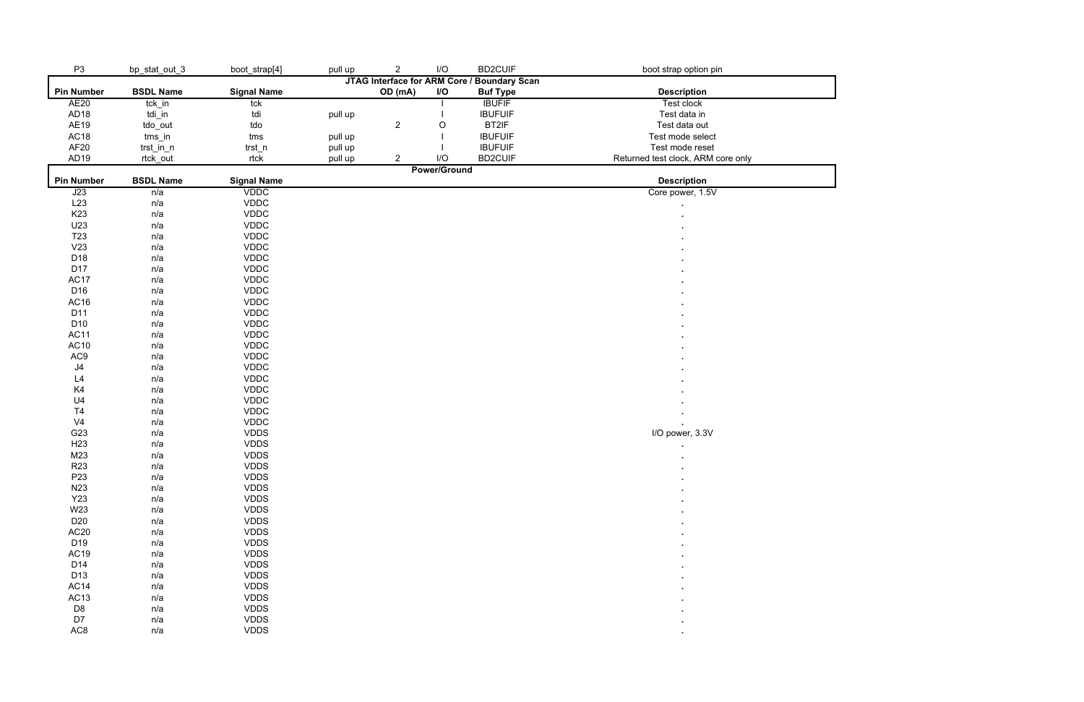| P <sub>3</sub>    | bp_stat_out_3                               | boot_strap[4]      | pull up | $\boldsymbol{2}$ | I/O                 | <b>BD2CUIF</b>  | boot strap option pin              |  |
|-------------------|---------------------------------------------|--------------------|---------|------------------|---------------------|-----------------|------------------------------------|--|
|                   | JTAG Interface for ARM Core / Boundary Scan |                    |         |                  |                     |                 |                                    |  |
| <b>Pin Number</b> | <b>BSDL Name</b>                            | <b>Signal Name</b> |         | OD (mA)          | I/O                 | <b>Buf Type</b> | <b>Description</b>                 |  |
| AE20              | tck_in                                      | tck                |         |                  |                     | <b>IBUFIF</b>   | Test clock                         |  |
| AD <sub>18</sub>  | tdi_in                                      | tdi                | pull up |                  |                     | <b>IBUFUIF</b>  | Test data in                       |  |
| AE19              | tdo_out                                     | tdo                |         | $\sqrt{2}$       | O                   | BT2IF           | Test data out                      |  |
| AC18              | $tms_in$                                    | tms                | pull up |                  |                     | <b>IBUFUIF</b>  | Test mode select                   |  |
| AF <sub>20</sub>  | trst_in_n                                   | trst_n             | pull up |                  |                     | <b>IBUFUIF</b>  | Test mode reset                    |  |
| AD <sub>19</sub>  | rtck_out                                    | rtck               | pull up | $\overline{c}$   | I/O                 | <b>BD2CUIF</b>  | Returned test clock, ARM core only |  |
|                   |                                             |                    |         |                  | <b>Power/Ground</b> |                 |                                    |  |
| <b>Pin Number</b> | <b>BSDL Name</b>                            | <b>Signal Name</b> |         |                  |                     |                 | <b>Description</b>                 |  |
| J23               | n/a                                         | <b>VDDC</b>        |         |                  |                     |                 | Core power, 1.5V                   |  |
| L23               | n/a                                         | <b>VDDC</b>        |         |                  |                     |                 |                                    |  |
| K <sub>23</sub>   | n/a                                         | <b>VDDC</b>        |         |                  |                     |                 |                                    |  |
| U23               | n/a                                         | <b>VDDC</b>        |         |                  |                     |                 |                                    |  |
| T <sub>23</sub>   | n/a                                         | <b>VDDC</b>        |         |                  |                     |                 |                                    |  |
| V23               | n/a                                         | <b>VDDC</b>        |         |                  |                     |                 |                                    |  |
| D18               | n/a                                         | <b>VDDC</b>        |         |                  |                     |                 |                                    |  |
| D17               | n/a                                         | <b>VDDC</b>        |         |                  |                     |                 |                                    |  |
| AC17              | n/a                                         | <b>VDDC</b>        |         |                  |                     |                 |                                    |  |
| D16               | n/a                                         | <b>VDDC</b>        |         |                  |                     |                 |                                    |  |
| AC16              | n/a                                         | <b>VDDC</b>        |         |                  |                     |                 |                                    |  |
| D11               | n/a                                         | <b>VDDC</b>        |         |                  |                     |                 |                                    |  |
| D <sub>10</sub>   | n/a                                         | <b>VDDC</b>        |         |                  |                     |                 |                                    |  |
| <b>AC11</b>       | n/a                                         | <b>VDDC</b>        |         |                  |                     |                 |                                    |  |
| AC10              | n/a                                         | <b>VDDC</b>        |         |                  |                     |                 |                                    |  |
| AC9               | n/a                                         | <b>VDDC</b>        |         |                  |                     |                 |                                    |  |
| $\sf J4$          | n/a                                         | <b>VDDC</b>        |         |                  |                     |                 |                                    |  |
| L4                | n/a                                         | <b>VDDC</b>        |         |                  |                     |                 |                                    |  |
| K4                | n/a                                         | <b>VDDC</b>        |         |                  |                     |                 |                                    |  |
| U <sub>4</sub>    | n/a                                         | <b>VDDC</b>        |         |                  |                     |                 |                                    |  |
| T <sub>4</sub>    | n/a                                         | <b>VDDC</b>        |         |                  |                     |                 |                                    |  |
| V <sub>4</sub>    | n/a                                         | <b>VDDC</b>        |         |                  |                     |                 |                                    |  |
| G23               | n/a                                         | <b>VDDS</b>        |         |                  |                     |                 | I/O power, 3.3V                    |  |
| H <sub>23</sub>   | n/a                                         | <b>VDDS</b>        |         |                  |                     |                 |                                    |  |
| M23               | n/a                                         | <b>VDDS</b>        |         |                  |                     |                 |                                    |  |
| R <sub>23</sub>   | n/a                                         | <b>VDDS</b>        |         |                  |                     |                 |                                    |  |
| P <sub>23</sub>   | n/a                                         | <b>VDDS</b>        |         |                  |                     |                 |                                    |  |
| N23               | n/a                                         | <b>VDDS</b>        |         |                  |                     |                 |                                    |  |
| <b>Y23</b>        | n/a                                         | <b>VDDS</b>        |         |                  |                     |                 |                                    |  |
| W23               | n/a                                         | <b>VDDS</b>        |         |                  |                     |                 |                                    |  |
| D <sub>20</sub>   | n/a                                         | <b>VDDS</b>        |         |                  |                     |                 |                                    |  |
| AC20              | n/a                                         | <b>VDDS</b>        |         |                  |                     |                 |                                    |  |
| D19               | n/a                                         | <b>VDDS</b>        |         |                  |                     |                 |                                    |  |
| <b>AC19</b>       | n/a                                         | <b>VDDS</b>        |         |                  |                     |                 |                                    |  |
| D14               | n/a                                         | <b>VDDS</b>        |         |                  |                     |                 |                                    |  |
| D13               | n/a                                         | <b>VDDS</b>        |         |                  |                     |                 |                                    |  |
| AC14              | n/a                                         | <b>VDDS</b>        |         |                  |                     |                 |                                    |  |
| <b>AC13</b>       | n/a                                         | <b>VDDS</b>        |         |                  |                     |                 |                                    |  |
| D <sub>8</sub>    | n/a                                         | <b>VDDS</b>        |         |                  |                     |                 |                                    |  |
| D7                | n/a                                         | <b>VDDS</b>        |         |                  |                     |                 |                                    |  |
| AC <sub>8</sub>   | n/a                                         | <b>VDDS</b>        |         |                  |                     |                 |                                    |  |
|                   |                                             |                    |         |                  |                     |                 | ٠                                  |  |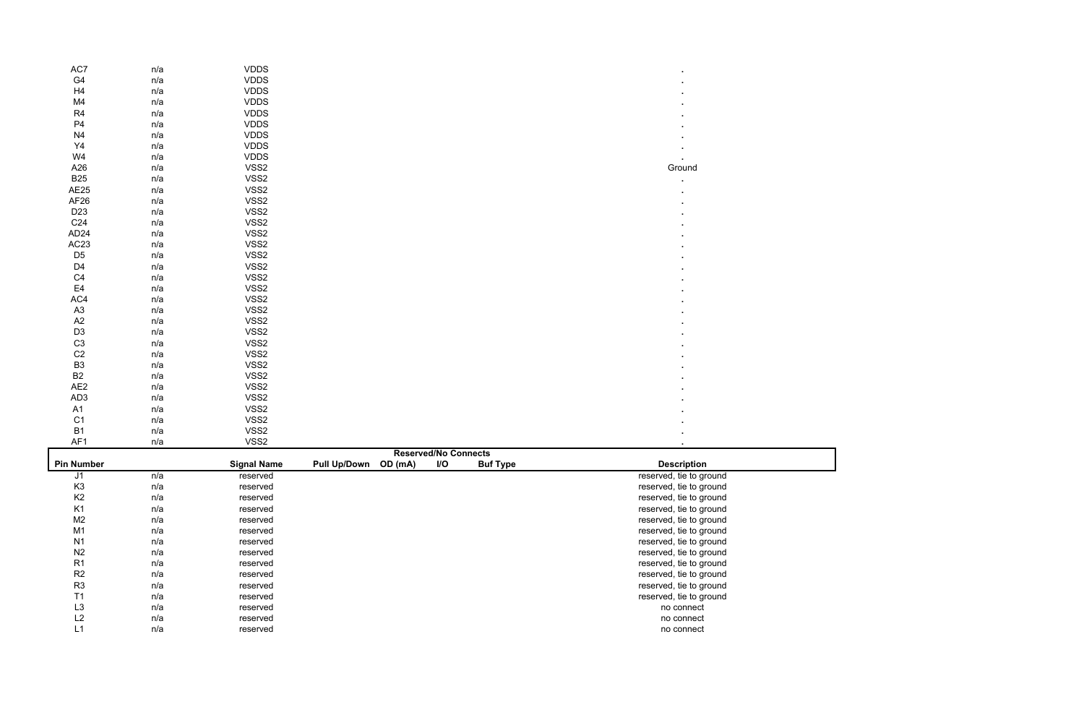| AC7               | n/a | <b>VDDS</b>        |                          |                             |          |                         |
|-------------------|-----|--------------------|--------------------------|-----------------------------|----------|-------------------------|
| G4                | n/a | <b>VDDS</b>        |                          |                             |          |                         |
| H <sub>4</sub>    | n/a | <b>VDDS</b>        |                          |                             |          |                         |
| M4                | n/a | <b>VDDS</b>        |                          |                             |          |                         |
| R <sub>4</sub>    | n/a | <b>VDDS</b>        |                          |                             |          |                         |
| P <sub>4</sub>    | n/a | <b>VDDS</b>        |                          |                             |          |                         |
| N <sub>4</sub>    | n/a | <b>VDDS</b>        |                          |                             |          |                         |
| Y <sub>4</sub>    | n/a | <b>VDDS</b>        |                          |                             |          |                         |
| W4                | n/a | <b>VDDS</b>        |                          |                             |          |                         |
| A26               | n/a | VSS2               |                          |                             |          | Ground                  |
| <b>B25</b>        | n/a | VSS2               |                          |                             |          |                         |
| AE25              | n/a | VSS2               |                          |                             |          |                         |
| AF26              | n/a | VSS2               |                          |                             |          |                         |
| D <sub>23</sub>   | n/a | VSS2               |                          |                             |          |                         |
| C <sub>24</sub>   | n/a | VSS2               |                          |                             |          |                         |
| AD <sub>24</sub>  | n/a | VSS2               |                          |                             |          |                         |
| AC23              | n/a | VSS2               |                          |                             |          |                         |
| D <sub>5</sub>    | n/a | VSS2               |                          |                             |          |                         |
| D <sub>4</sub>    | n/a | VSS2               |                          |                             |          |                         |
| C <sub>4</sub>    | n/a | VSS2               |                          |                             |          |                         |
| E <sub>4</sub>    | n/a | VSS2               |                          |                             |          |                         |
| AC4               | n/a | VSS2               |                          |                             |          |                         |
| A <sub>3</sub>    | n/a | VSS2               |                          |                             |          |                         |
| A2                | n/a | VSS2               |                          |                             |          |                         |
| D <sub>3</sub>    | n/a | VSS2               |                          |                             |          |                         |
| C <sub>3</sub>    | n/a | VSS2               |                          |                             |          |                         |
| C <sub>2</sub>    | n/a | VSS2               |                          |                             |          |                         |
| B <sub>3</sub>    | n/a | VSS2               |                          |                             |          |                         |
| B <sub>2</sub>    | n/a | VSS2               |                          |                             |          |                         |
| AE <sub>2</sub>   | n/a | VSS2               |                          |                             |          |                         |
| AD <sub>3</sub>   | n/a | VSS2               |                          |                             |          |                         |
| A1                | n/a | VSS2               |                          |                             |          |                         |
| C <sub>1</sub>    | n/a | VSS2               |                          |                             |          |                         |
| B <sub>1</sub>    | n/a | VSS2               |                          |                             |          |                         |
| AF1               | n/a | VSS2               |                          |                             |          |                         |
|                   |     |                    |                          | <b>Reserved/No Connects</b> |          |                         |
| <b>Pin Number</b> |     | <b>Signal Name</b> | Pull Up/Down OD (mA) I/O |                             | Buf Type | <b>Description</b>      |
| J1                | n/a | reserved           |                          |                             |          | reserved, tie to ground |
| K <sub>3</sub>    | n/a | reserved           |                          |                             |          | reserved, tie to ground |
| K <sub>2</sub>    | n/a | reserved           |                          |                             |          | reserved, tie to ground |
| K <sub>1</sub>    | n/a | reserved           |                          |                             |          | reserved, tie to ground |
| M <sub>2</sub>    | n/a | reserved           |                          |                             |          | reserved, tie to ground |
| M1                | n/a | reserved           |                          |                             |          | reserved, tie to ground |
| N <sub>1</sub>    | n/a | reserved           |                          |                             |          | reserved, tie to ground |
| N <sub>2</sub>    | n/a | reserved           |                          |                             |          | reserved, tie to ground |
| R <sub>1</sub>    | n/a | reserved           |                          |                             |          | reserved, tie to ground |
| R2                | n/a | reserved           |                          |                             |          | reserved, tie to ground |
| R <sub>3</sub>    | n/a | reserved           |                          |                             |          | reserved, tie to ground |
| T1                | n/a | reserved           |                          |                             |          | reserved, tie to ground |
| L <sub>3</sub>    | n/a | reserved           |                          |                             |          | no connect              |
| L2                | n/a | reserved           |                          |                             |          | no connect              |
| L1                | n/a | reserved           |                          |                             |          | no connect              |